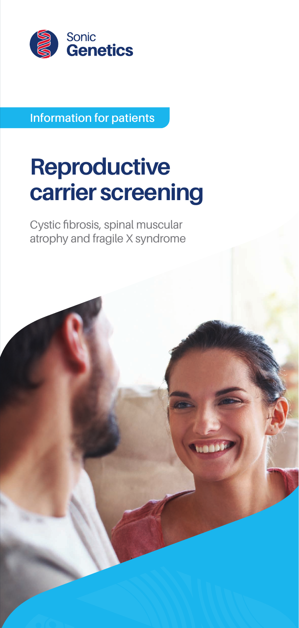

**Information for patients**

# **Reproductive carrier screening**

Cystic fibrosis, spinal muscular atrophy and fragile X syndrome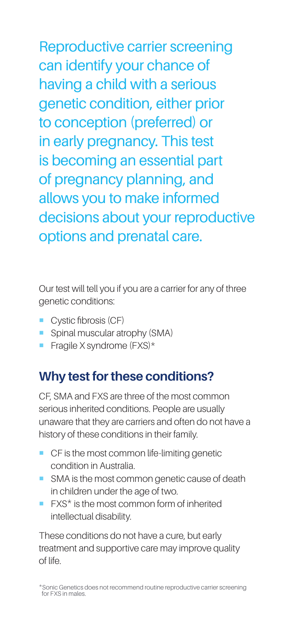Reproductive carrier screening can identify your chance of having a child with a serious genetic condition, either prior to conception (preferred) or in early pregnancy. This test is becoming an essential part of pregnancy planning, and allows you to make informed decisions about your reproductive options and prenatal care.

Our test will tell you if you are a carrier for any of three genetic conditions:

- Cystic fibrosis (CF)
- **•** Spinal muscular atrophy (SMA)
- $\blacksquare$  Fragile X syndrome (FXS)\*

#### **Why test for these conditions?**

CF, SMA and FXS are three of the most common serious inherited conditions. People are usually unaware that they are carriers and often do not have a history of these conditions in their family.

- CF is the most common life-limiting genetic condition in Australia.
- SMA is the most common genetic cause of death in children under the age of two.
- FXS<sup>\*</sup> is the most common form of inherited intellectual disability.

These conditions do not have a cure, but early treatment and supportive care may improve quality of life.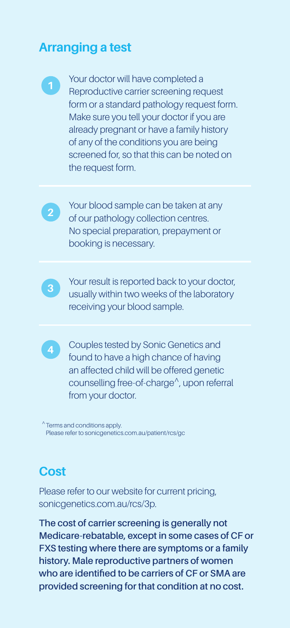#### **Arranging a test**



**<sup>1</sup>** Your doctor will have completed a Reproductive carrier screening request form or a standard pathology request form. Make sure you tell your doctor if you are already pregnant or have a family history of any of the conditions you are being screened for, so that this can be noted on the request form.



**2** Your blood sample can be taken at any of our pathology collection centres. No special preparation, prepayment or booking is necessary.



**3** Your result is reported back to your doctor, usually within two weeks of the laboratory receiving your blood sample.



**4** Couples tested by Sonic Genetics and found to have a high chance of having an affected child will be offered genetic counselling free-of-charge^, upon referral from your doctor.

^Terms and conditions apply. Please refer to [sonicgenetics.com.au/patient/rcs/gc](http://www.sonicgenetics.com.au/patient/rcs/gc)

#### **Cost**

Please refer to our website for current pricing, [sonicgenetics.com.au/rcs/3p.](http://sonicgenetics.com.au/rcs/3p)

**The cost of carrier screening is generally not Medicare-rebatable, except in some cases of CF or FXS testing where there are symptoms or a family history. Male reproductive partners of women who are identified to be carriers of CF or SMA are provided screening for that condition at no cost.**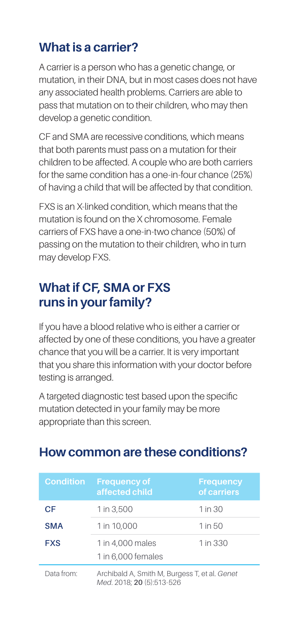### **What is a carrier?**

A carrier is a person who has a genetic change, or mutation, in their DNA, but in most cases does not have any associated health problems. Carriers are able to pass that mutation on to their children, who may then develop a genetic condition.

CF and SMA are recessive conditions, which means that both parents must pass on a mutation for their children to be affected. A couple who are both carriers for the same condition has a one-in-four chance (25%) of having a child that will be affected by that condition.

FXS is an X-linked condition, which means that the mutation is found on the X chromosome. Female carriers of FXS have a one-in-two chance (50%) of passing on the mutation to their children, who in turn may develop FXS.

## **What if CF, SMA or FXS runs in your family?**

If you have a blood relative who is either a carrier or affected by one of these conditions, you have a greater chance that you will be a carrier. It is very important that you share this information with your doctor before testing is arranged.

A targeted diagnostic test based upon the specific mutation detected in your family may be more appropriate than this screen.

| <b>Condition</b> | <b>Frequency of</b><br>affected child                                      | <b>Frequency</b><br>of carriers |
|------------------|----------------------------------------------------------------------------|---------------------------------|
| CF               | 1 in 3,500                                                                 | 1 in 30                         |
| <b>SMA</b>       | 1 in 10,000                                                                | 1 in 50                         |
| <b>FXS</b>       | 1 in 4.000 males<br>1 in 6,000 females                                     | 1 in 330                        |
| Data from:       | Archibald A, Smith M, Burgess T, et al. Genet<br>Med. 2018; 20 (5):513-526 |                                 |

#### **How common are these conditions?**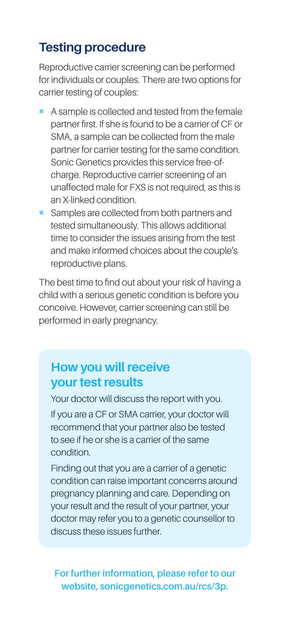#### **Testing procedure**

Reproductive carrier screening can be performed for individuals or couples. There are two options for carrier testing of couples:

- A sample is collected and tested from the female partner first. If she is found to be a carrier of CF or SMA, a sample can be collected from the male partner for carrier testing for the same condition. Sonic Genetics provides this service free-ofcharge. Reproductive carrier screening of an unaffected male for FXS is not required, as this is an X-linked condition.
- Samples are collected from both partners and tested simultaneously. This allows additional time to consider the issues arising from the test and make informed choices about the couple's reproductive plans.

The best time to find out about your risk of having a child with a serious genetic condition is before you conceive. However, carrier screening can still be performed in early pregnancy.

#### **How you will receive your test results**

Your doctor will discuss the report with you.

If you are a CF or SMA carrier, your doctor will recommend that your partner also be tested to see if he or she is a carrier of the same condition.

Finding out that you are a carrier of a genetic condition can raise important concerns around pregnancy planning and care. Depending on your result and the result of your partner, your doctor may refer you to a genetic counsellor to discuss these issues further.

#### **For further information, please refer to our website, [sonicgenetics.com.au/rcs/3p](http://sonicgenetics.com.au/rcs/3p).**